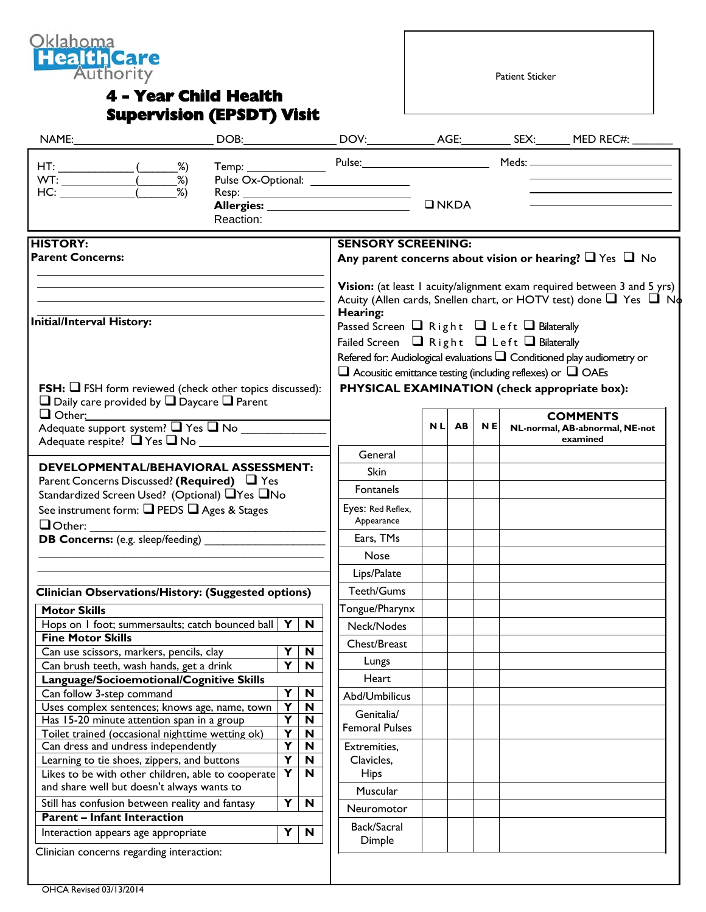

## **4 - Year Child Health Supervision (EPSDT) Visit**

Patient Sticker

| NAME: A CONTROLLER WAS ARRESTED FOR A STRUCK.                                                                                                                                                                                                                                                                                                      |         |           |                                                                        |                                                                                                                        |           |                |           |  |                                                                                |
|----------------------------------------------------------------------------------------------------------------------------------------------------------------------------------------------------------------------------------------------------------------------------------------------------------------------------------------------------|---------|-----------|------------------------------------------------------------------------|------------------------------------------------------------------------------------------------------------------------|-----------|----------------|-----------|--|--------------------------------------------------------------------------------|
| $HT:$ ( $\frac{\%}{\%}$                                                                                                                                                                                                                                                                                                                            |         |           |                                                                        |                                                                                                                        |           |                |           |  | Temp: Pulse: Pulse: Meds: Meds: Meds: Meds: Meds: 2004                         |
| $WT: \begin{picture}(100,10) \put(0,0){\line(1,0){10}} \put(15,0){\line(1,0){10}} \put(15,0){\line(1,0){10}} \put(15,0){\line(1,0){10}} \put(15,0){\line(1,0){10}} \put(15,0){\line(1,0){10}} \put(15,0){\line(1,0){10}} \put(15,0){\line(1,0){10}} \put(15,0){\line(1,0){10}} \put(15,0){\line(1,0){10}} \put(15,0){\line(1,0){10}} \put(15,0){\$ |         |           |                                                                        | Pulse Ox-Optional: __________________                                                                                  |           |                |           |  |                                                                                |
| HC:                                                                                                                                                                                                                                                                                                                                                | -<br>%) |           |                                                                        |                                                                                                                        |           |                |           |  |                                                                                |
|                                                                                                                                                                                                                                                                                                                                                    |         |           |                                                                        |                                                                                                                        |           | $\square$ NKDA |           |  |                                                                                |
|                                                                                                                                                                                                                                                                                                                                                    |         | Reaction: |                                                                        |                                                                                                                        |           |                |           |  |                                                                                |
| <b>HISTORY:</b>                                                                                                                                                                                                                                                                                                                                    |         |           |                                                                        | <b>SENSORY SCREENING:</b>                                                                                              |           |                |           |  |                                                                                |
| <b>Parent Concerns:</b>                                                                                                                                                                                                                                                                                                                            |         |           |                                                                        |                                                                                                                        |           |                |           |  | Any parent concerns about vision or hearing? $\Box$ Yes $\Box$ No              |
|                                                                                                                                                                                                                                                                                                                                                    |         |           |                                                                        |                                                                                                                        |           |                |           |  | Vision: (at least I acuity/alignment exam required between 3 and 5 yrs)        |
|                                                                                                                                                                                                                                                                                                                                                    |         |           |                                                                        |                                                                                                                        |           |                |           |  | Acuity (Allen cards, Snellen chart, or HOTV test) done $\Box$ Yes $\Box$ No    |
| Initial/Interval History:                                                                                                                                                                                                                                                                                                                          |         |           |                                                                        | Hearing:                                                                                                               |           |                |           |  |                                                                                |
|                                                                                                                                                                                                                                                                                                                                                    |         |           |                                                                        | Passed Screen $\Box$ Right $\Box$ Left $\Box$ Bilaterally<br>Failed Screen $\Box$ Right $\Box$ Left $\Box$ Bilaterally |           |                |           |  |                                                                                |
|                                                                                                                                                                                                                                                                                                                                                    |         |           |                                                                        |                                                                                                                        |           |                |           |  |                                                                                |
|                                                                                                                                                                                                                                                                                                                                                    |         |           |                                                                        |                                                                                                                        |           |                |           |  | Refered for: Audiological evaluations $\square$ Conditioned play audiometry or |
|                                                                                                                                                                                                                                                                                                                                                    |         |           |                                                                        | $\Box$ Acousitic emittance testing (including reflexes) or $\Box$ OAEs                                                 |           |                |           |  |                                                                                |
| <b>FSH:</b> $\Box$ FSH form reviewed (check other topics discussed):<br>$\Box$ Daily care provided by $\Box$ Daycare $\Box$ Parent                                                                                                                                                                                                                 |         |           |                                                                        | PHYSICAL EXAMINATION (check appropriate box):                                                                          |           |                |           |  |                                                                                |
| $\Box$ Other:                                                                                                                                                                                                                                                                                                                                      |         |           |                                                                        |                                                                                                                        |           |                |           |  | <b>COMMENTS</b>                                                                |
| Adequate support system? $\Box$ Yes $\Box$ No                                                                                                                                                                                                                                                                                                      |         |           |                                                                        |                                                                                                                        | <b>NL</b> | <b>AB</b>      | <b>NE</b> |  | NL-normal, AB-abnormal, NE-not                                                 |
| Adequate respite? Thes Tho                                                                                                                                                                                                                                                                                                                         |         |           |                                                                        |                                                                                                                        |           |                |           |  | examined                                                                       |
|                                                                                                                                                                                                                                                                                                                                                    |         |           |                                                                        | General                                                                                                                |           |                |           |  |                                                                                |
| DEVELOPMENTAL/BEHAVIORAL ASSESSMENT:                                                                                                                                                                                                                                                                                                               |         |           |                                                                        | Skin                                                                                                                   |           |                |           |  |                                                                                |
| Parent Concerns Discussed? (Required) 4 Yes                                                                                                                                                                                                                                                                                                        |         |           |                                                                        | Fontanels                                                                                                              |           |                |           |  |                                                                                |
| Standardized Screen Used? (Optional) □Yes □No                                                                                                                                                                                                                                                                                                      |         |           |                                                                        | Eyes: Red Reflex,                                                                                                      |           |                |           |  |                                                                                |
| See instrument form: □ PEDS □ Ages & Stages<br>$\Box$ Other:                                                                                                                                                                                                                                                                                       |         |           |                                                                        | Appearance                                                                                                             |           |                |           |  |                                                                                |
| <b>DB Concerns:</b> (e.g. sleep/feeding)                                                                                                                                                                                                                                                                                                           |         |           |                                                                        | Ears, TMs                                                                                                              |           |                |           |  |                                                                                |
|                                                                                                                                                                                                                                                                                                                                                    |         |           |                                                                        | <b>Nose</b>                                                                                                            |           |                |           |  |                                                                                |
|                                                                                                                                                                                                                                                                                                                                                    |         |           |                                                                        | Lips/Palate                                                                                                            |           |                |           |  |                                                                                |
| <b>Clinician Observations/History: (Suggested options)</b>                                                                                                                                                                                                                                                                                         |         |           |                                                                        | Teeth/Gums                                                                                                             |           |                |           |  |                                                                                |
| <b>Motor Skills</b>                                                                                                                                                                                                                                                                                                                                |         |           |                                                                        | Tongue/Pharynx                                                                                                         |           |                |           |  |                                                                                |
| Hops on 1 foot; summersaults; catch bounced ball $Y \mid N$                                                                                                                                                                                                                                                                                        |         |           |                                                                        | Neck/Nodes                                                                                                             |           |                |           |  |                                                                                |
| <b>Fine Motor Skills</b>                                                                                                                                                                                                                                                                                                                           |         |           |                                                                        | Chest/Breast                                                                                                           |           |                |           |  |                                                                                |
| Can use scissors, markers, pencils, clay<br>Can brush teeth, wash hands, get a drink                                                                                                                                                                                                                                                               |         |           | $\mathbf N$<br>Y<br>$\overline{\mathbf{Y}}$<br>N                       | Lungs                                                                                                                  |           |                |           |  |                                                                                |
| Language/Socioemotional/Cognitive Skills                                                                                                                                                                                                                                                                                                           |         |           |                                                                        | Heart                                                                                                                  |           |                |           |  |                                                                                |
| Can follow 3-step command                                                                                                                                                                                                                                                                                                                          |         |           | Y<br>N                                                                 | Abd/Umbilicus                                                                                                          |           |                |           |  |                                                                                |
| Uses complex sentences; knows age, name, town                                                                                                                                                                                                                                                                                                      |         |           | $\overline{\mathsf{Y}}$<br>$\mathbf N$                                 | Genitalia/                                                                                                             |           |                |           |  |                                                                                |
| Has 15-20 minute attention span in a group                                                                                                                                                                                                                                                                                                         |         |           | $\overline{\mathsf{Y}}$<br>$\mathbf N$                                 | <b>Femoral Pulses</b>                                                                                                  |           |                |           |  |                                                                                |
| Toilet trained (occasional nighttime wetting ok)                                                                                                                                                                                                                                                                                                   |         |           | $\overline{\mathsf{Y}}$<br>$\mathbf N$                                 |                                                                                                                        |           |                |           |  |                                                                                |
| Can dress and undress independently                                                                                                                                                                                                                                                                                                                |         |           | $\overline{\mathsf{Y}}$<br>N                                           | Extremities,                                                                                                           |           |                |           |  |                                                                                |
| Learning to tie shoes, zippers, and buttons                                                                                                                                                                                                                                                                                                        |         |           | $\overline{\mathsf{Y}}$<br>$\mathbf N$<br>$\overline{\mathbf{Y}}$<br>N | Clavicles,                                                                                                             |           |                |           |  |                                                                                |
| Likes to be with other children, able to cooperate<br>and share well but doesn't always wants to                                                                                                                                                                                                                                                   |         |           |                                                                        | <b>Hips</b>                                                                                                            |           |                |           |  |                                                                                |
|                                                                                                                                                                                                                                                                                                                                                    |         |           |                                                                        | Muscular                                                                                                               |           |                |           |  |                                                                                |
| Y<br>N<br>Still has confusion between reality and fantasy                                                                                                                                                                                                                                                                                          |         |           |                                                                        | Neuromotor                                                                                                             |           |                |           |  |                                                                                |
|                                                                                                                                                                                                                                                                                                                                                    |         |           |                                                                        |                                                                                                                        |           |                |           |  |                                                                                |
| <b>Parent - Infant Interaction</b><br>Interaction appears age appropriate                                                                                                                                                                                                                                                                          |         |           | Y<br>N                                                                 | Back/Sacral                                                                                                            |           |                |           |  |                                                                                |